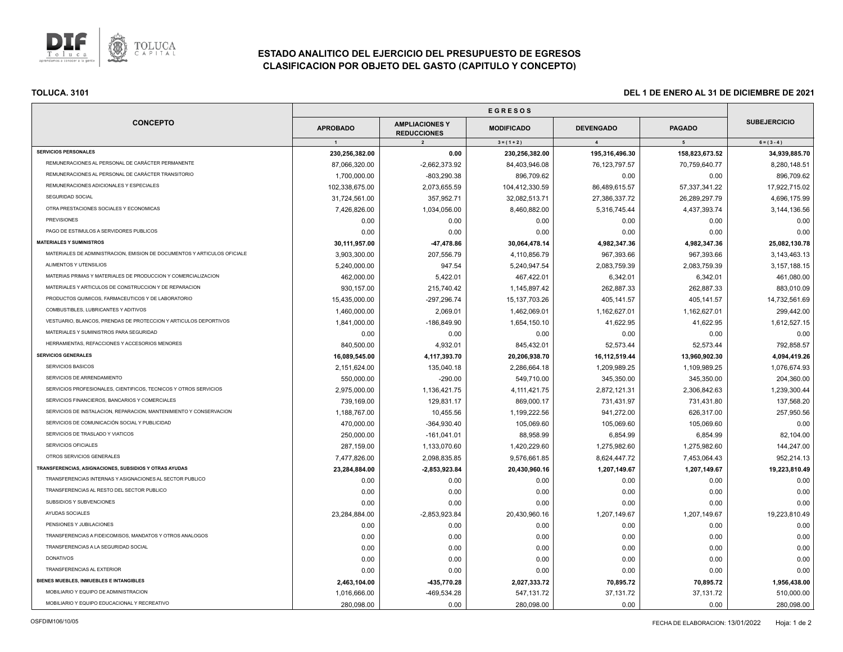

# **ESTADO ANALITICO DEL EJERCICIO DEL PRESUPUESTO DE EGRESOS CLASIFICACION POR OBJETO DEL GASTO (CAPITULO Y CONCEPTO)**

| <b>CONCEPTO</b>                                                          |                 |                                                               |                                    |                                    |                    |                                      |
|--------------------------------------------------------------------------|-----------------|---------------------------------------------------------------|------------------------------------|------------------------------------|--------------------|--------------------------------------|
|                                                                          | <b>APROBADO</b> | <b>AMPLIACIONES Y</b><br><b>REDUCCIONES</b><br>$\overline{2}$ | <b>MODIFICADO</b><br>$3 = (1 + 2)$ | <b>DEVENGADO</b><br>$\overline{4}$ | <b>PAGADO</b><br>5 | <b>SUBEJERCICIO</b><br>$6 = (3 - 4)$ |
|                                                                          | $\overline{1}$  |                                                               |                                    |                                    |                    |                                      |
| <b>SERVICIOS PERSONALES</b>                                              | 230,256,382.00  | 0.00                                                          | 230,256,382.00                     | 195,316,496.30                     | 158,823,673.52     | 34,939,885.70                        |
| REMUNERACIONES AL PERSONAL DE CARÁCTER PERMANENTE                        | 87,066,320.00   | $-2,662,373.92$                                               | 84,403,946.08                      | 76, 123, 797.57                    | 70,759,640.77      | 8,280,148.51                         |
| REMUNERACIONES AL PERSONAL DE CARÁCTER TRANSITORIO                       | 1,700,000.00    | $-803,290.38$                                                 | 896,709.62                         | 0.00                               | 0.00               | 896,709.62                           |
| REMUNERACIONES ADICIONALES Y ESPECIALES                                  | 102,338,675.00  | 2,073,655.59                                                  | 104,412,330.59                     | 86,489,615.57                      | 57,337,341.22      | 17,922,715.02                        |
| SEGURIDAD SOCIAL                                                         | 31,724,561.00   | 357,952.71                                                    | 32,082,513.71                      | 27,386,337.72                      | 26,289,297.79      | 4,696,175.99                         |
| OTRA PRESTACIONES SOCIALES Y ECONOMICAS                                  | 7,426,826.00    | 1,034,056.00                                                  | 8,460,882.00                       | 5,316,745.44                       | 4,437,393.74       | 3,144,136.56                         |
| <b>PREVISIONES</b>                                                       | 0.00            | 0.00                                                          | 0.00                               | 0.00                               | 0.00               | 0.00                                 |
| PAGO DE ESTIMULOS A SERVIDORES PUBLICOS                                  | 0.00            | 0.00                                                          | 0.00                               | 0.00                               | 0.00               | 0.00                                 |
| <b>MATERIALES Y SUMINISTROS</b>                                          | 30,111,957.00   | -47,478.86                                                    | 30,064,478.14                      | 4,982,347.36                       | 4,982,347.36       | 25,082,130.78                        |
| MATERIALES DE ADMINISTRACION, EMISION DE DOCUMENTOS Y ARTICULOS OFICIALE | 3,903,300.00    | 207,556.79                                                    | 4,110,856.79                       | 967,393.66                         | 967,393.66         | 3,143,463.13                         |
| ALIMENTOS Y UTENSILIOS                                                   | 5,240,000.00    | 947.54                                                        | 5,240,947.54                       | 2,083,759.39                       | 2,083,759.39       | 3, 157, 188. 15                      |
| MATERIAS PRIMAS Y MATERIALES DE PRODUCCION Y COMERCIALIZACION            | 462,000.00      | 5,422.01                                                      | 467,422.01                         | 6,342.01                           | 6,342.01           | 461,080.00                           |
| MATERIALES Y ARTICULOS DE CONSTRUCCION Y DE REPARACION                   | 930,157.00      | 215,740.42                                                    | 1,145,897.42                       | 262,887.33                         | 262,887.33         | 883,010.09                           |
| PRODUCTOS QUIMICOS, FARMACEUTICOS Y DE LABORATORIO                       | 15,435,000.00   | -297,296.74                                                   | 15, 137, 703. 26                   | 405,141.57                         | 405,141.57         | 14,732,561.69                        |
| COMBUSTIBLES, LUBRICANTES Y ADITIVOS                                     | 1,460,000.00    | 2,069.01                                                      | 1,462,069.01                       | 1,162,627.01                       | 1,162,627.01       | 299,442.00                           |
| VESTUARIO, BLANCOS, PRENDAS DE PROTECCION Y ARTICULOS DEPORTIVOS         | 1,841,000.00    | -186,849.90                                                   | 1,654,150.10                       | 41,622.95                          | 41,622.95          | 1,612,527.15                         |
| MATERIALES Y SUMINISTROS PARA SEGURIDAD                                  | 0.00            | 0.00                                                          | 0.00                               | 0.00                               | 0.00               | 0.00                                 |
| HERRAMIENTAS, REFACCIONES Y ACCESORIOS MENORES                           | 840,500.00      | 4,932.01                                                      | 845,432.01                         | 52,573.44                          | 52,573.44          | 792,858.57                           |
| <b>SERVICIOS GENERALES</b>                                               | 16,089,545.00   | 4,117,393.70                                                  | 20,206,938.70                      | 16,112,519.44                      | 13,960,902.30      | 4,094,419.26                         |
| SERVICIOS BASICOS                                                        | 2,151,624.00    | 135,040.18                                                    | 2,286,664.18                       | 1,209,989.25                       | 1,109,989.25       | 1,076,674.93                         |
| SERVICIOS DE ARRENDAMIENTO                                               | 550,000.00      | $-290.00$                                                     | 549,710.00                         | 345,350.00                         | 345,350.00         | 204,360.00                           |
| SERVICIOS PROFESIONALES, CIENTIFICOS, TECNICOS Y OTROS SERVICIOS         | 2,975,000.00    | 1,136,421.75                                                  | 4, 111, 421. 75                    | 2,872,121.31                       | 2,306,842.63       | 1,239,300.44                         |
| SERVICIOS FINANCIEROS, BANCARIOS Y COMERCIALES                           | 739,169.00      | 129,831.17                                                    | 869,000.17                         | 731,431.97                         | 731,431.80         | 137,568.20                           |
| SERVICIOS DE INSTALACION, REPARACION, MANTENIMIENTO Y CONSERVACION       | 1,188,767.00    | 10,455.56                                                     | 1,199,222.56                       | 941,272.00                         | 626,317.00         | 257,950.56                           |
| SERVICIOS DE COMUNICACIÓN SOCIAL Y PUBLICIDAD                            | 470,000.00      | $-364,930.40$                                                 | 105,069.60                         | 105,069.60                         | 105,069.60         | 0.00                                 |
| SERVICIOS DE TRASLADO Y VIATICOS                                         | 250,000.00      | $-161,041.01$                                                 | 88,958.99                          | 6,854.99                           | 6,854.99           | 82,104.00                            |
| SERVICIOS OFICIALES                                                      | 287,159.00      | 1,133,070.60                                                  | 1,420,229.60                       | 1,275,982.60                       | 1,275,982.60       | 144,247.00                           |
| OTROS SERVICIOS GENERALES                                                | 7,477,826.00    | 2,098,835.85                                                  | 9,576,661.85                       | 8,624,447.72                       | 7,453,064.43       | 952,214.13                           |
| TRANSFERENCIAS, ASIGNACIONES, SUBSIDIOS Y OTRAS AYUDAS                   | 23,284,884.00   | $-2,853,923.84$                                               | 20,430,960.16                      | 1,207,149.67                       | 1,207,149.67       | 19,223,810.49                        |
| TRANSFERENCIAS INTERNAS Y ASIGNACIONES AL SECTOR PUBLICO                 | 0.00            | 0.00                                                          | 0.00                               | 0.00                               | 0.00               | 0.00                                 |
| TRANSFERENCIAS AL RESTO DEL SECTOR PUBLICO                               | 0.00            | 0.00                                                          | 0.00                               | 0.00                               | 0.00               | 0.00                                 |
| SUBSIDIOS Y SUBVENCIONES                                                 | 0.00            | 0.00                                                          | 0.00                               | 0.00                               | 0.00               | 0.00                                 |
| AYUDAS SOCIALES                                                          | 23,284,884.00   | $-2,853,923.84$                                               | 20,430,960.16                      | 1,207,149.67                       | 1,207,149.67       | 19,223,810.49                        |
| PENSIONES Y JUBILACIONES                                                 | 0.00            | 0.00                                                          | 0.00                               | 0.00                               | 0.00               | 0.00                                 |
| TRANSFERENCIAS A FIDEICOMISOS, MANDATOS Y OTROS ANALOGOS                 | 0.00            | 0.00                                                          | 0.00                               | 0.00                               | 0.00               | 0.00                                 |
| TRANSFERENCIAS A LA SEGURIDAD SOCIAL                                     | 0.00            | 0.00                                                          | 0.00                               | 0.00                               | 0.00               | 0.00                                 |
| <b>DONATIVOS</b>                                                         | 0.00            | 0.00                                                          | 0.00                               | 0.00                               | 0.00               | 0.00                                 |
| <b>TRANSFERENCIAS AL EXTERIOR</b>                                        | 0.00            | 0.00                                                          | 0.00                               | 0.00                               | 0.00               | 0.00                                 |
| BIENES MUEBLES, INMUEBLES E INTANGIBLES                                  | 2,463,104.00    | -435,770.28                                                   | 2,027,333.72                       | 70,895.72                          | 70,895.72          | 1,956,438.00                         |
| MOBILIARIO Y EQUIPO DE ADMINISTRACION                                    | 1,016,666.00    | -469,534.28                                                   | 547,131.72                         | 37,131.72                          | 37,131.72          | 510,000.00                           |
| MOBILIARIO Y EQUIPO EDUCACIONAL Y RECREATIVO                             | 280,098.00      | 0.00                                                          | 280,098.00                         | 0.00                               | 0.00               | 280,098.00                           |